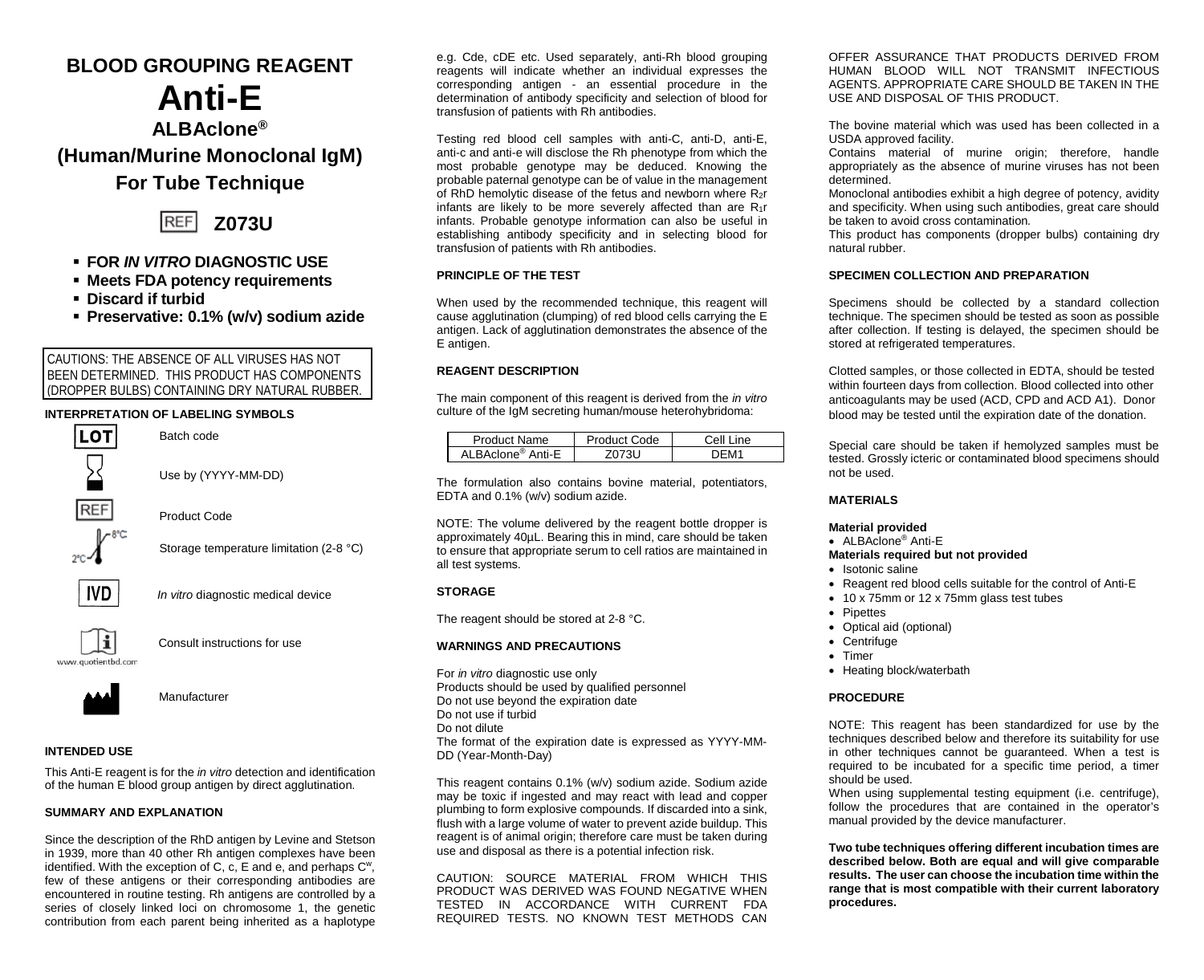# **BLOOD GROUPING REAGENT**

# **Anti-E**

**ALBAclone® (Human/Murine Monoclonal IgM)**

# **For Tube Technique**



- **FOR** *IN VITRO* **DIAGNOSTIC USE**
- **Meets FDA potency requirements**
- **Discard if turbid**
- **Preservative: 0.1% (w/v) sodium azide**

# CAUTIONS: THE ABSENCE OF ALL VIRUSES HAS NOT BEEN DETERMINED. THIS PRODUCT HAS COMPONENTS (DROPPER BULBS) CONTAINING DRY NATURAL RUBBER.

# **INTERPRETATION OF LABELING SYMBOLS**



Use by (YYYY-MM-DD)

Product Code

Batch code

Storage temperature limitation (2-8 °C)



*In vitro* diagnostic medical device



Consult instructions for use

www.guotienthd.com



Manufacturer

# **INTENDED USE**

This Anti-E reagent is for the *in vitro* detection and identification of the human E blood group antigen by direct agglutination.

#### **SUMMARY AND EXPLANATION**

Since the description of the RhD antigen by Levine and Stetson in 1939, more than 40 other Rh antigen complexes have been identified. With the exception of C, c, E and e, and perhaps Cw, few of these antigens or their corresponding antibodies are encountered in routine testing. Rh antigens are controlled by a series of closely linked loci on chromosome 1, the genetic contribution from each parent being inherited as a haplotype e.g. Cde, cDE etc. Used separately, anti-Rh blood grouping reagents will indicate whether an individual expresses the corresponding antigen - an essential procedure in the determination of antibody specificity and selection of blood for transfusion of patients with Rh antibodies.

Testing red blood cell samples with anti-C, anti-D, anti-E, anti-c and anti-e will disclose the Rh phenotype from which the most probable genotype may be deduced. Knowing the probable paternal genotype can be of value in the management of RhD hemolytic disease of the fetus and newborn where R2r infants are likely to be more severely affected than are R1r infants. Probable genotype information can also be useful in establishing antibody specificity and in selecting blood for transfusion of patients with Rh antibodies.

## **PRINCIPLE OF THE TEST**

When used by the recommended technique, this reagent will cause agglutination (clumping) of red blood cells carrying the E antigen. Lack of agglutination demonstrates the absence of the E antigen.

#### **REAGENT DESCRIPTION**

The main component of this reagent is derived from the *in vitro* culture of the IgM secreting human/mouse heterohybridoma:

| Product Name                   | Product Code | Cell Line |
|--------------------------------|--------------|-----------|
| Al BAclone <sup>®</sup> Anti-F | วเ เ         |           |

The formulation also contains bovine material, potentiators, EDTA and 0.1% (w/v) sodium azide.

NOTE: The volume delivered by the reagent bottle dropper is approximately 40µL. Bearing this in mind, care should be taken to ensure that appropriate serum to cell ratios are maintained in all test systems.

#### **STORAGE**

The reagent should be stored at 2-8 °C.

#### **WARNINGS AND PRECAUTIONS**

For *in vitro* diagnostic use only Products should be used by qualified personnel Do not use beyond the expiration date Do not use if turbid Do not dilute The format of the expiration date is expressed as YYYY-MM-DD (Year-Month-Day)

This reagent contains 0.1% (w/v) sodium azide. Sodium azide may be toxic if ingested and may react with lead and copper plumbing to form explosive compounds. If discarded into a sink, flush with a large volume of water to prevent azide buildup. This reagent is of animal origin; therefore care must be taken during use and disposal as there is a potential infection risk.

CAUTION: SOURCE MATERIAL FROM WHICH THIS PRODUCT WAS DERIVED WAS FOUND NEGATIVE WHEN TESTED IN ACCORDANCE WITH CURRENT FDA REQUIRED TESTS. NO KNOWN TEST METHODS CAN

OFFER ASSURANCE THAT PRODUCTS DERIVED FROM HUMAN BLOOD WILL NOT TRANSMIT INFECTIOUS AGENTS. APPROPRIATE CARE SHOULD BE TAKEN IN THE USE AND DISPOSAL OF THIS PRODUCT.

The bovine material which was used has been collected in a USDA approved facility.

Contains material of murine origin; therefore, handle appropriately as the absence of murine viruses has not been determined.

Monoclonal antibodies exhibit a high degree of potency, avidity and specificity. When using such antibodies, great care should be taken to avoid cross contamination*.*

This product has components (dropper bulbs) containing dry natural rubber.

#### **SPECIMEN COLLECTION AND PREPARATION**

Specimens should be collected by a standard collection technique. The specimen should be tested as soon as possible after collection. If testing is delayed, the specimen should be stored at refrigerated temperatures.

Clotted samples, or those collected in EDTA, should be tested within fourteen days from collection. Blood collected into other anticoagulants may be used (ACD, CPD and ACD A1). Donor blood may be tested until the expiration date of the donation.

Special care should be taken if hemolyzed samples must be tested. Grossly icteric or contaminated blood specimens should not be used.

#### **MATERIALS**

#### **Material provided**

• ALBAclone® Anti-E

#### **Materials required but not provided**

- Isotonic saline
- Reagent red blood cells suitable for the control of Anti-E
- 10 x 75mm or 12 x 75mm glass test tubes
- Pipettes
- Optical aid (optional)
- Centrifuge
- Timer
- Heating block/waterbath

#### **PROCEDURE**

NOTE: This reagent has been standardized for use by the techniques described below and therefore its suitability for use in other techniques cannot be guaranteed. When a test is required to be incubated for a specific time period, a timer should be used.

When using supplemental testing equipment (i.e. centrifuge), follow the procedures that are contained in the operator's manual provided by the device manufacturer.

**Two tube techniques offering different incubation times are described below. Both are equal and will give comparable results. The user can choose the incubation time within the range that is most compatible with their current laboratory procedures.**